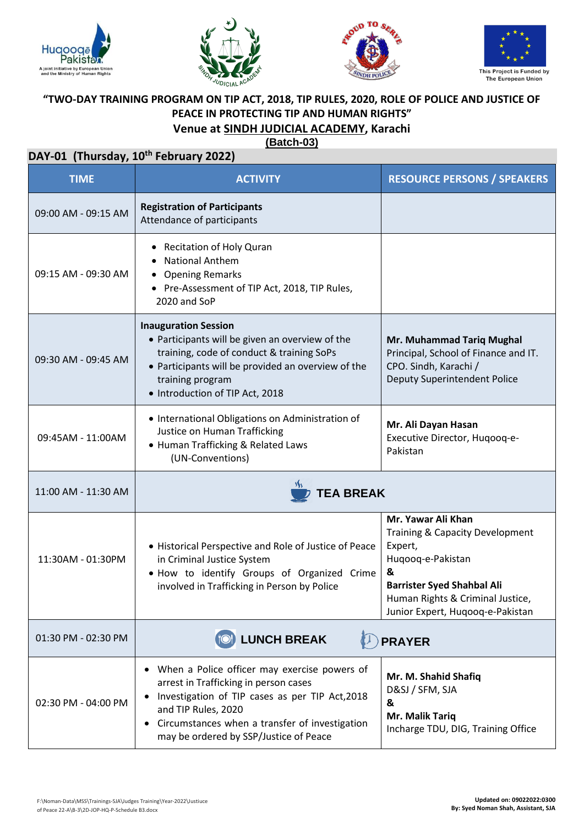







## **"TWO-DAY TRAINING PROGRAM ON TIP ACT, 2018, TIP RULES, 2020, ROLE OF POLICE AND JUSTICE OF PEACE IN PROTECTING TIP AND HUMAN RIGHTS" Venue at SINDH JUDICIAL ACADEMY, Karachi**

**(Batch-03)**

|  |  | DAY-01 (Thursday, 10 <sup>th</sup> February 2022) |  |
|--|--|---------------------------------------------------|--|
|--|--|---------------------------------------------------|--|

| <b>TIME</b>         | <b>ACTIVITY</b>                                                                                                                                                                                                                                                            | <b>RESOURCE PERSONS / SPEAKERS</b>                                                                                                                                                                      |  |
|---------------------|----------------------------------------------------------------------------------------------------------------------------------------------------------------------------------------------------------------------------------------------------------------------------|---------------------------------------------------------------------------------------------------------------------------------------------------------------------------------------------------------|--|
| 09:00 AM - 09:15 AM | <b>Registration of Participants</b><br>Attendance of participants                                                                                                                                                                                                          |                                                                                                                                                                                                         |  |
| 09:15 AM - 09:30 AM | Recitation of Holy Quran<br><b>National Anthem</b><br><b>Opening Remarks</b><br>• Pre-Assessment of TIP Act, 2018, TIP Rules,<br>2020 and SoP                                                                                                                              |                                                                                                                                                                                                         |  |
| 09:30 AM - 09:45 AM | <b>Inauguration Session</b><br>• Participants will be given an overview of the<br>training, code of conduct & training SoPs<br>• Participants will be provided an overview of the<br>training program<br>• Introduction of TIP Act, 2018                                   | Mr. Muhammad Tariq Mughal<br>Principal, School of Finance and IT.<br>CPO. Sindh, Karachi /<br>Deputy Superintendent Police                                                                              |  |
| 09:45AM - 11:00AM   | • International Obligations on Administration of<br>Justice on Human Trafficking<br>• Human Trafficking & Related Laws<br>(UN-Conventions)                                                                                                                                 | Mr. Ali Dayan Hasan<br>Executive Director, Huqooq-e-<br>Pakistan                                                                                                                                        |  |
| 11:00 AM - 11:30 AM | <b>TEA BREAK</b>                                                                                                                                                                                                                                                           |                                                                                                                                                                                                         |  |
| 11:30AM - 01:30PM   | • Historical Perspective and Role of Justice of Peace<br>in Criminal Justice System<br>. How to identify Groups of Organized Crime<br>involved in Trafficking in Person by Police                                                                                          | Mr. Yawar Ali Khan<br>Training & Capacity Development<br>Expert,<br>Huqooq-e-Pakistan<br>&<br><b>Barrister Syed Shahbal Ali</b><br>Human Rights & Criminal Justice,<br>Junior Expert, Huqooq-e-Pakistan |  |
| 01:30 PM - 02:30 PM | <b>LUNCH BREAK</b><br><b>PRAYER</b>                                                                                                                                                                                                                                        |                                                                                                                                                                                                         |  |
| 02:30 PM - 04:00 PM | • When a Police officer may exercise powers of<br>arrest in Trafficking in person cases<br>Investigation of TIP cases as per TIP Act, 2018<br>and TIP Rules, 2020<br>Circumstances when a transfer of investigation<br>$\bullet$<br>may be ordered by SSP/Justice of Peace | Mr. M. Shahid Shafiq<br>D&SJ / SFM, SJA<br>&<br>Mr. Malik Tariq<br>Incharge TDU, DIG, Training Office                                                                                                   |  |